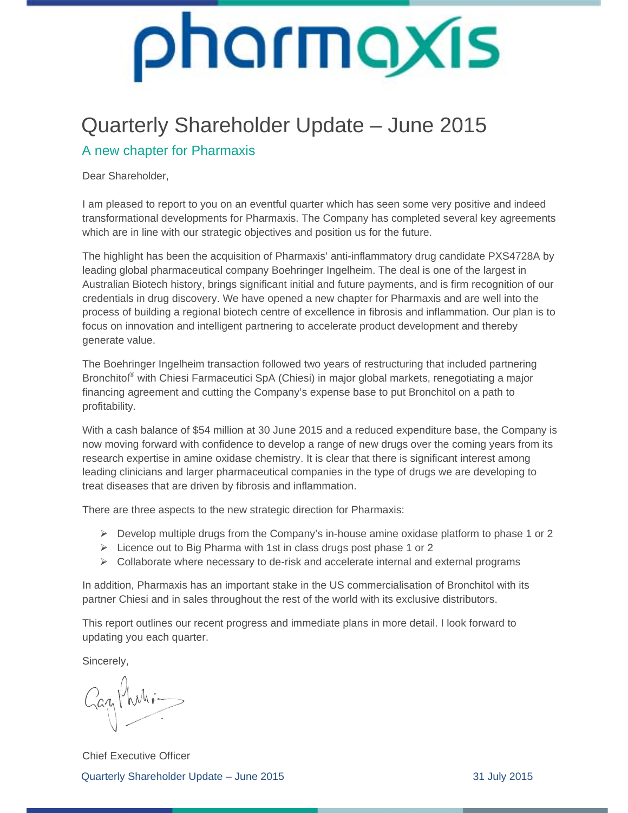### Quarterly Shareholder Update – June 2015

#### A new chapter for Pharmaxis

Dear Shareholder,

I am pleased to report to you on an eventful quarter which has seen some very positive and indeed transformational developments for Pharmaxis. The Company has completed several key agreements which are in line with our strategic objectives and position us for the future.

The highlight has been the acquisition of Pharmaxis' anti-inflammatory drug candidate PXS4728A by leading global pharmaceutical company Boehringer Ingelheim. The deal is one of the largest in Australian Biotech history, brings significant initial and future payments, and is firm recognition of our credentials in drug discovery. We have opened a new chapter for Pharmaxis and are well into the process of building a regional biotech centre of excellence in fibrosis and inflammation. Our plan is to focus on innovation and intelligent partnering to accelerate product development and thereby generate value.

The Boehringer Ingelheim transaction followed two years of restructuring that included partnering Bronchitol<sup>®</sup> with Chiesi Farmaceutici SpA (Chiesi) in major global markets, renegotiating a major financing agreement and cutting the Company's expense base to put Bronchitol on a path to profitability.

With a cash balance of \$54 million at 30 June 2015 and a reduced expenditure base, the Company is now moving forward with confidence to develop a range of new drugs over the coming years from its research expertise in amine oxidase chemistry. It is clear that there is significant interest among leading clinicians and larger pharmaceutical companies in the type of drugs we are developing to treat diseases that are driven by fibrosis and inflammation.

There are three aspects to the new strategic direction for Pharmaxis:

- $\triangleright$  Develop multiple drugs from the Company's in-house amine oxidase platform to phase 1 or 2
- $\triangleright$  Licence out to Big Pharma with 1st in class drugs post phase 1 or 2
- $\triangleright$  Collaborate where necessary to de-risk and accelerate internal and external programs

In addition, Pharmaxis has an important stake in the US commercialisation of Bronchitol with its partner Chiesi and in sales throughout the rest of the world with its exclusive distributors.

This report outlines our recent progress and immediate plans in more detail. I look forward to updating you each quarter.

Sincerely,

Gazy Muhi-

Quarterly Shareholder Update – June 2015 31 July 2015 Chief Executive Officer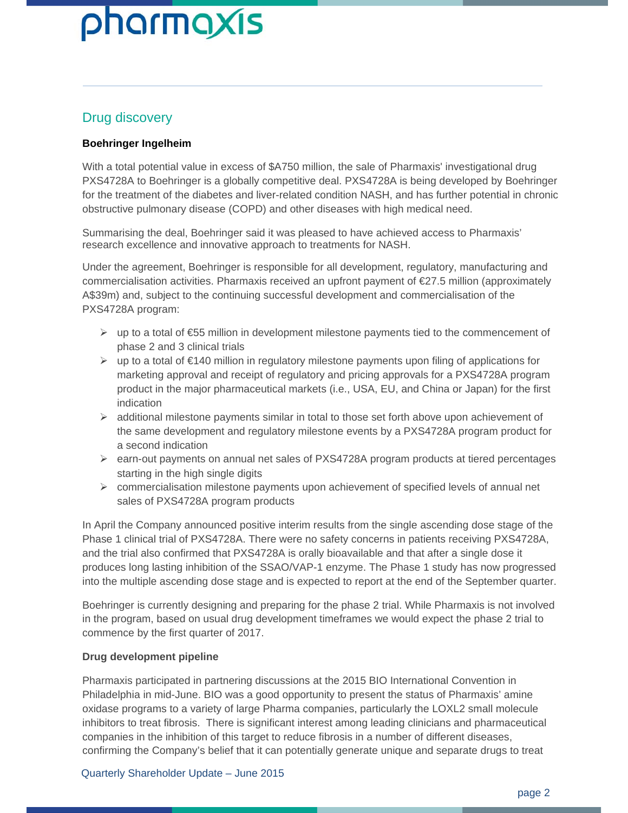#### Drug discovery

#### **Boehringer Ingelheim**

With a total potential value in excess of \$A750 million, the sale of Pharmaxis' investigational drug PXS4728A to Boehringer is a globally competitive deal. PXS4728A is being developed by Boehringer for the treatment of the diabetes and liver-related condition NASH, and has further potential in chronic obstructive pulmonary disease (COPD) and other diseases with high medical need.

Summarising the deal, Boehringer said it was pleased to have achieved access to Pharmaxis' research excellence and innovative approach to treatments for NASH.

Under the agreement, Boehringer is responsible for all development, regulatory, manufacturing and commercialisation activities. Pharmaxis received an upfront payment of €27.5 million (approximately A\$39m) and, subject to the continuing successful development and commercialisation of the PXS4728A program:

- $\triangleright$  up to a total of  $\epsilon$ 55 million in development milestone payments tied to the commencement of phase 2 and 3 clinical trials
- up to a total of €140 million in regulatory milestone payments upon filing of applications for marketing approval and receipt of regulatory and pricing approvals for a PXS4728A program product in the major pharmaceutical markets (i.e., USA, EU, and China or Japan) for the first indication
- $\triangleright$  additional milestone payments similar in total to those set forth above upon achievement of the same development and regulatory milestone events by a PXS4728A program product for a second indication
- $\triangleright$  earn-out payments on annual net sales of PXS4728A program products at tiered percentages starting in the high single digits
- $\triangleright$  commercialisation milestone payments upon achievement of specified levels of annual net sales of PXS4728A program products

In April the Company announced positive interim results from the single ascending dose stage of the Phase 1 clinical trial of PXS4728A. There were no safety concerns in patients receiving PXS4728A, and the trial also confirmed that PXS4728A is orally bioavailable and that after a single dose it produces long lasting inhibition of the SSAO/VAP-1 enzyme. The Phase 1 study has now progressed into the multiple ascending dose stage and is expected to report at the end of the September quarter.

Boehringer is currently designing and preparing for the phase 2 trial. While Pharmaxis is not involved in the program, based on usual drug development timeframes we would expect the phase 2 trial to commence by the first quarter of 2017.

#### **Drug development pipeline**

Pharmaxis participated in partnering discussions at the 2015 BIO International Convention in Philadelphia in mid-June. BIO was a good opportunity to present the status of Pharmaxis' amine oxidase programs to a variety of large Pharma companies, particularly the LOXL2 small molecule inhibitors to treat fibrosis. There is significant interest among leading clinicians and pharmaceutical companies in the inhibition of this target to reduce fibrosis in a number of different diseases, confirming the Company's belief that it can potentially generate unique and separate drugs to treat

#### Quarterly Shareholder Update – June 2015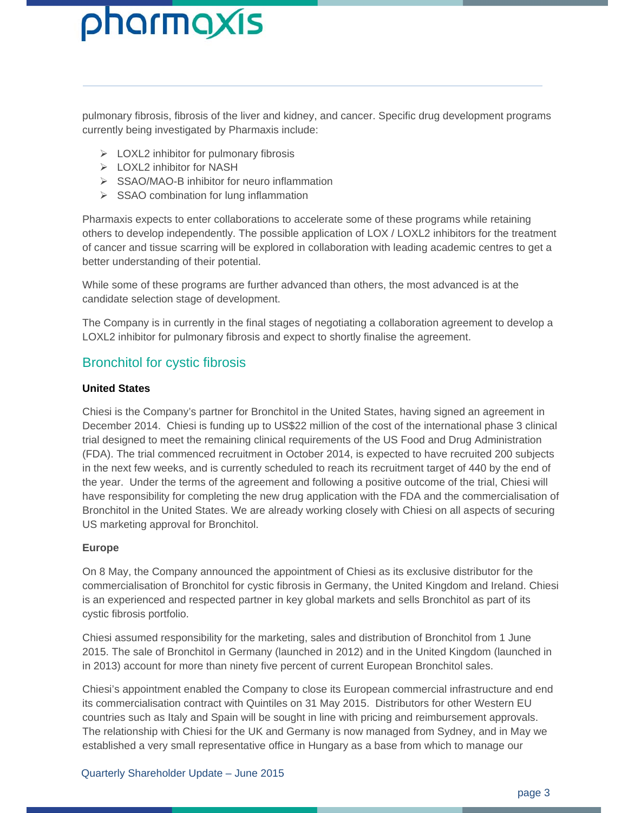pulmonary fibrosis, fibrosis of the liver and kidney, and cancer. Specific drug development programs currently being investigated by Pharmaxis include:

- $\triangleright$  LOXL2 inhibitor for pulmonary fibrosis
- $\triangleright$  LOXL2 inhibitor for NASH
- ▶ SSAO/MAO-B inhibitor for neuro inflammation
- $\triangleright$  SSAO combination for lung inflammation

Pharmaxis expects to enter collaborations to accelerate some of these programs while retaining others to develop independently. The possible application of LOX / LOXL2 inhibitors for the treatment of cancer and tissue scarring will be explored in collaboration with leading academic centres to get a better understanding of their potential.

While some of these programs are further advanced than others, the most advanced is at the candidate selection stage of development.

The Company is in currently in the final stages of negotiating a collaboration agreement to develop a LOXL2 inhibitor for pulmonary fibrosis and expect to shortly finalise the agreement.

#### Bronchitol for cystic fibrosis

#### **United States**

Chiesi is the Company's partner for Bronchitol in the United States, having signed an agreement in December 2014. Chiesi is funding up to US\$22 million of the cost of the international phase 3 clinical trial designed to meet the remaining clinical requirements of the US Food and Drug Administration (FDA). The trial commenced recruitment in October 2014, is expected to have recruited 200 subjects in the next few weeks, and is currently scheduled to reach its recruitment target of 440 by the end of the year. Under the terms of the agreement and following a positive outcome of the trial, Chiesi will have responsibility for completing the new drug application with the FDA and the commercialisation of Bronchitol in the United States. We are already working closely with Chiesi on all aspects of securing US marketing approval for Bronchitol.

#### **Europe**

On 8 May, the Company announced the appointment of Chiesi as its exclusive distributor for the commercialisation of Bronchitol for cystic fibrosis in Germany, the United Kingdom and Ireland. Chiesi is an experienced and respected partner in key global markets and sells Bronchitol as part of its cystic fibrosis portfolio.

Chiesi assumed responsibility for the marketing, sales and distribution of Bronchitol from 1 June 2015. The sale of Bronchitol in Germany (launched in 2012) and in the United Kingdom (launched in in 2013) account for more than ninety five percent of current European Bronchitol sales.

Chiesi's appointment enabled the Company to close its European commercial infrastructure and end its commercialisation contract with Quintiles on 31 May 2015. Distributors for other Western EU countries such as Italy and Spain will be sought in line with pricing and reimbursement approvals. The relationship with Chiesi for the UK and Germany is now managed from Sydney, and in May we established a very small representative office in Hungary as a base from which to manage our

#### Quarterly Shareholder Update – June 2015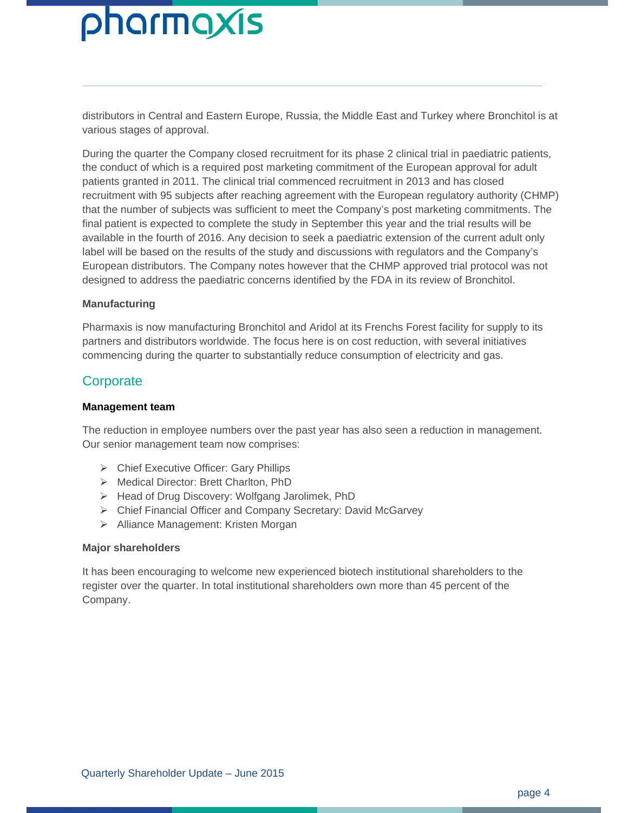distributors in Central and Eastern Europe, Russia, the Middle East and Turkey where Bronchitol is at various stages of approval.

During the quarter the Company closed recruitment for its phase 2 clinical trial in paediatric patients, the conduct of which is a required post marketing commitment of the European approval for adult patients granted in 2011. The clinical trial commenced recruitment in 2013 and has closed recruitment with 95 subjects after reaching agreement with the European regulatory authority (CHMP) that the number of subjects was sufficient to meet the Company's post marketing commitments. The final patient is expected to complete the study in September this year and the trial results will be available in the fourth of 2016. Any decision to seek a paediatric extension of the current adult only label will be based on the results of the study and discussions with regulators and the Company's European distributors. The Company notes however that the CHMP approved trial protocol was not designed to address the paediatric concerns identified by the FDA in its review of Bronchitol.

#### **Manufacturing**

Pharmaxis is now manufacturing Bronchitol and Aridol at its Frenchs Forest facility for supply to its partners and distributors worldwide. The focus here is on cost reduction, with several initiatives commencing during the quarter to substantially reduce consumption of electricity and gas.

#### **Corporate**

#### **Management team**

The reduction in employee numbers over the past year has also seen a reduction in management. Our senior management team now comprises:

- Chief Executive Officer: Gary Phillips
- Medical Director: Brett Charlton, PhD
- Head of Drug Discovery: Wolfgang Jarolimek, PhD
- Chief Financial Officer and Company Secretary: David McGarvey
- > Alliance Management: Kristen Morgan

#### **Major shareholders**

It has been encouraging to welcome new experienced biotech institutional shareholders to the register over the quarter. In total institutional shareholders own more than 45 percent of the Company.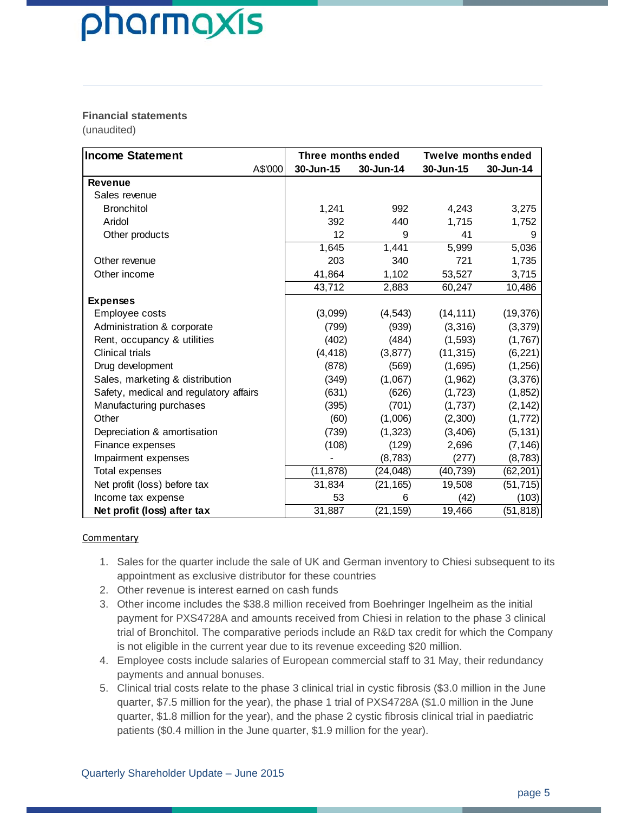#### **Financial statements**

(unaudited)

| <b>Income Statement</b>                |           | Three months ended |           | <b>Twelve months ended</b> |  |
|----------------------------------------|-----------|--------------------|-----------|----------------------------|--|
| A\$'000                                | 30-Jun-15 | 30-Jun-14          | 30-Jun-15 | 30-Jun-14                  |  |
| <b>Revenue</b>                         |           |                    |           |                            |  |
| Sales revenue                          |           |                    |           |                            |  |
| <b>Bronchitol</b>                      | 1,241     | 992                | 4,243     | 3,275                      |  |
| Aridol                                 | 392       | 440                | 1,715     | 1,752                      |  |
| Other products                         | 12        | 9                  | 41        | 9                          |  |
|                                        | 1,645     | 1,441              | 5,999     | 5,036                      |  |
| Other revenue                          | 203       | 340                | 721       | 1,735                      |  |
| Other income                           | 41,864    | 1,102              | 53,527    | 3,715                      |  |
|                                        | 43,712    | 2,883              | 60,247    | 10,486                     |  |
| <b>Expenses</b>                        |           |                    |           |                            |  |
| Employee costs                         | (3,099)   | (4, 543)           | (14, 111) | (19, 376)                  |  |
| Administration & corporate             | (799)     | (939)              | (3,316)   | (3, 379)                   |  |
| Rent, occupancy & utilities            | (402)     | (484)              | (1, 593)  | (1,767)                    |  |
| <b>Clinical trials</b>                 | (4, 418)  | (3, 877)           | (11, 315) | (6, 221)                   |  |
| Drug development                       | (878)     | (569)              | (1,695)   | (1, 256)                   |  |
| Sales, marketing & distribution        | (349)     | (1,067)            | (1,962)   | (3, 376)                   |  |
| Safety, medical and regulatory affairs | (631)     | (626)              | (1, 723)  | (1, 852)                   |  |
| Manufacturing purchases                | (395)     | (701)              | (1,737)   | (2, 142)                   |  |
| Other                                  | (60)      | (1,006)            | (2,300)   | (1, 772)                   |  |
| Depreciation & amortisation            | (739)     | (1, 323)           | (3,406)   | (5, 131)                   |  |
| Finance expenses                       | (108)     | (129)              | 2,696     | (7, 146)                   |  |
| Impairment expenses                    |           | (8, 783)           | (277)     | (8, 783)                   |  |
| Total expenses                         | (11, 878) | (24, 048)          | (40, 739) | (62, 201)                  |  |
| Net profit (loss) before tax           | 31,834    | (21, 165)          | 19,508    | (51, 715)                  |  |
| Income tax expense                     | 53        | 6                  | (42)      | (103)                      |  |
| Net profit (loss) after tax            | 31,887    | (21, 159)          | 19,466    | (51, 818)                  |  |

#### **Commentary**

- 1. Sales for the quarter include the sale of UK and German inventory to Chiesi subsequent to its appointment as exclusive distributor for these countries
- 2. Other revenue is interest earned on cash funds
- 3. Other income includes the \$38.8 million received from Boehringer Ingelheim as the initial payment for PXS4728A and amounts received from Chiesi in relation to the phase 3 clinical trial of Bronchitol. The comparative periods include an R&D tax credit for which the Company is not eligible in the current year due to its revenue exceeding \$20 million.
- 4. Employee costs include salaries of European commercial staff to 31 May, their redundancy payments and annual bonuses.
- 5. Clinical trial costs relate to the phase 3 clinical trial in cystic fibrosis (\$3.0 million in the June quarter, \$7.5 million for the year), the phase 1 trial of PXS4728A (\$1.0 million in the June quarter, \$1.8 million for the year), and the phase 2 cystic fibrosis clinical trial in paediatric patients (\$0.4 million in the June quarter, \$1.9 million for the year).